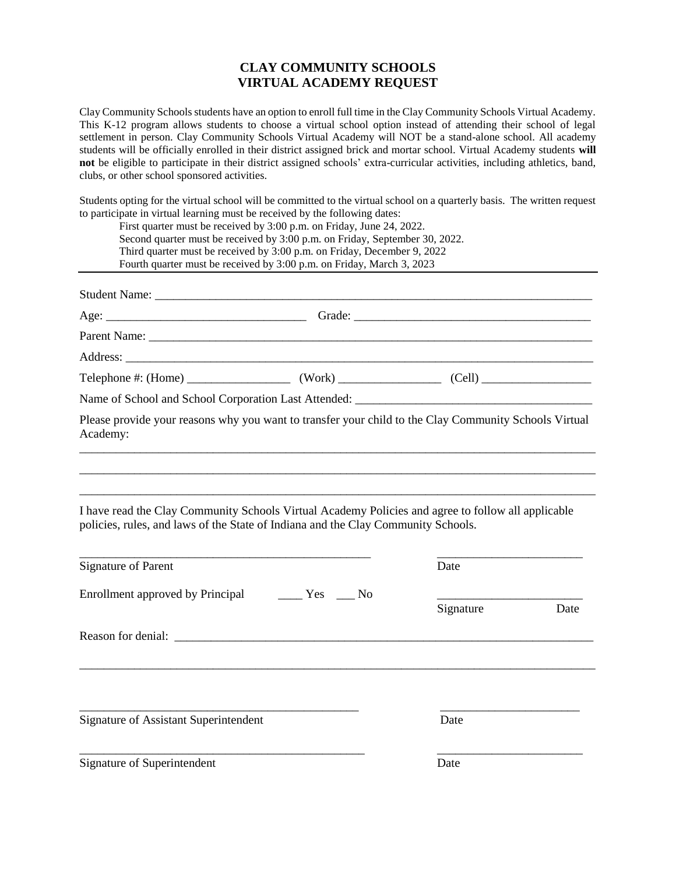#### **CLAY COMMUNITY SCHOOLS VIRTUAL ACADEMY REQUEST**

Clay Community Schools students have an option to enroll full time in the Clay Community Schools Virtual Academy. This K-12 program allows students to choose a virtual school option instead of attending their school of legal settlement in person. Clay Community Schools Virtual Academy will NOT be a stand-alone school. All academy students will be officially enrolled in their district assigned brick and mortar school. Virtual Academy students **will not** be eligible to participate in their district assigned schools' extra-curricular activities, including athletics, band, clubs, or other school sponsored activities.

Students opting for the virtual school will be committed to the virtual school on a quarterly basis. The written request to participate in virtual learning must be received by the following dates:

| First quarter must be received by 3:00 p.m. on Friday, June 24, 2022.<br>Second quarter must be received by 3:00 p.m. on Friday, September 30, 2022.<br>Third quarter must be received by 3:00 p.m. on Friday, December 9, 2022<br>Fourth quarter must be received by 3:00 p.m. on Friday, March 3, 2023 |                                                  |  |           |      |
|----------------------------------------------------------------------------------------------------------------------------------------------------------------------------------------------------------------------------------------------------------------------------------------------------------|--------------------------------------------------|--|-----------|------|
|                                                                                                                                                                                                                                                                                                          |                                                  |  |           |      |
|                                                                                                                                                                                                                                                                                                          |                                                  |  |           |      |
|                                                                                                                                                                                                                                                                                                          |                                                  |  |           |      |
|                                                                                                                                                                                                                                                                                                          |                                                  |  |           |      |
|                                                                                                                                                                                                                                                                                                          |                                                  |  |           |      |
|                                                                                                                                                                                                                                                                                                          |                                                  |  |           |      |
| Please provide your reasons why you want to transfer your child to the Clay Community Schools Virtual<br>Academy:                                                                                                                                                                                        |                                                  |  |           |      |
| I have read the Clay Community Schools Virtual Academy Policies and agree to follow all applicable<br>policies, rules, and laws of the State of Indiana and the Clay Community Schools.<br><b>Signature of Parent</b>                                                                                    |                                                  |  | Date      |      |
| Enrollment approved by Principal                                                                                                                                                                                                                                                                         | $\rule{1em}{0.15mm}$ Yes $\rule{1em}{0.15mm}$ No |  |           |      |
|                                                                                                                                                                                                                                                                                                          |                                                  |  | Signature | Date |
|                                                                                                                                                                                                                                                                                                          |                                                  |  |           |      |
| Signature of Assistant Superintendent                                                                                                                                                                                                                                                                    |                                                  |  | Date      |      |
| Signature of Superintendent                                                                                                                                                                                                                                                                              |                                                  |  | Date      |      |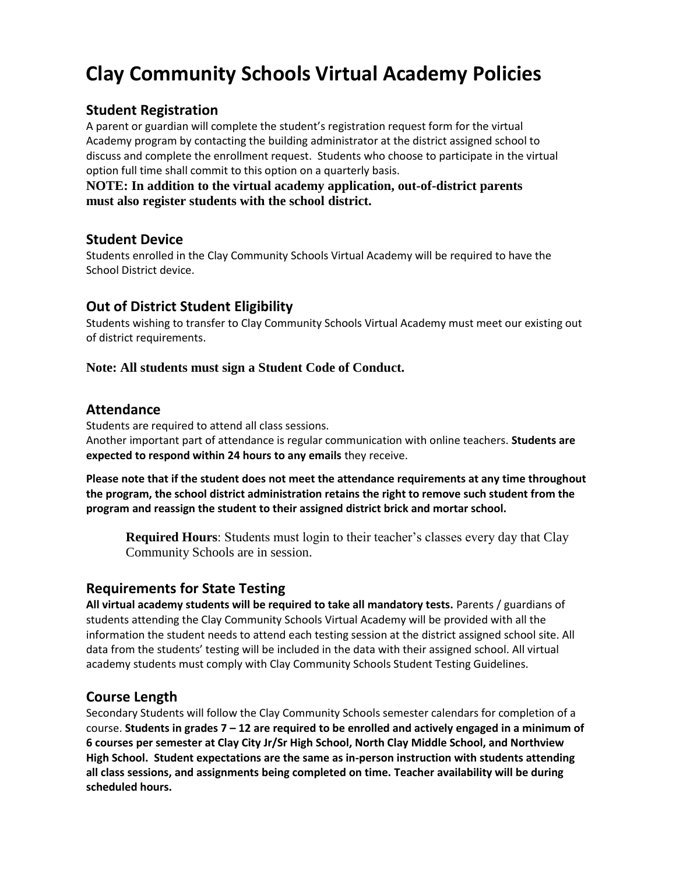# **Clay Community Schools Virtual Academy Policies**

### **Student Registration**

A parent or guardian will complete the student's registration request form for the virtual Academy program by contacting the building administrator at the district assigned school to discuss and complete the enrollment request. Students who choose to participate in the virtual option full time shall commit to this option on a quarterly basis.

#### **NOTE: In addition to the virtual academy application, out-of-district parents must also register students with the school district.**

#### **Student Device**

Students enrolled in the Clay Community Schools Virtual Academy will be required to have the School District device.

## **Out of District Student Eligibility**

Students wishing to transfer to Clay Community Schools Virtual Academy must meet our existing out of district requirements.

#### **Note: All students must sign a Student Code of Conduct.**

#### **Attendance**

Students are required to attend all class sessions. Another important part of attendance is regular communication with online teachers. **Students are expected to respond within 24 hours to any emails** they receive.

**Please note that if the student does not meet the attendance requirements at any time throughout the program, the school district administration retains the right to remove such student from the program and reassign the student to their assigned district brick and mortar school.**

**Required Hours**: Students must login to their teacher's classes every day that Clay Community Schools are in session.

#### **Requirements for State Testing**

**All virtual academy students will be required to take all mandatory tests.** Parents / guardians of students attending the Clay Community Schools Virtual Academy will be provided with all the information the student needs to attend each testing session at the district assigned school site. All data from the students' testing will be included in the data with their assigned school. All virtual academy students must comply with Clay Community Schools Student Testing Guidelines.

## **Course Length**

Secondary Students will follow the Clay Community Schools semester calendars for completion of a course. **Students in grades 7 – 12 are required to be enrolled and actively engaged in a minimum of 6 courses per semester at Clay City Jr/Sr High School, North Clay Middle School, and Northview High School. Student expectations are the same as in-person instruction with students attending all class sessions, and assignments being completed on time. Teacher availability will be during scheduled hours.**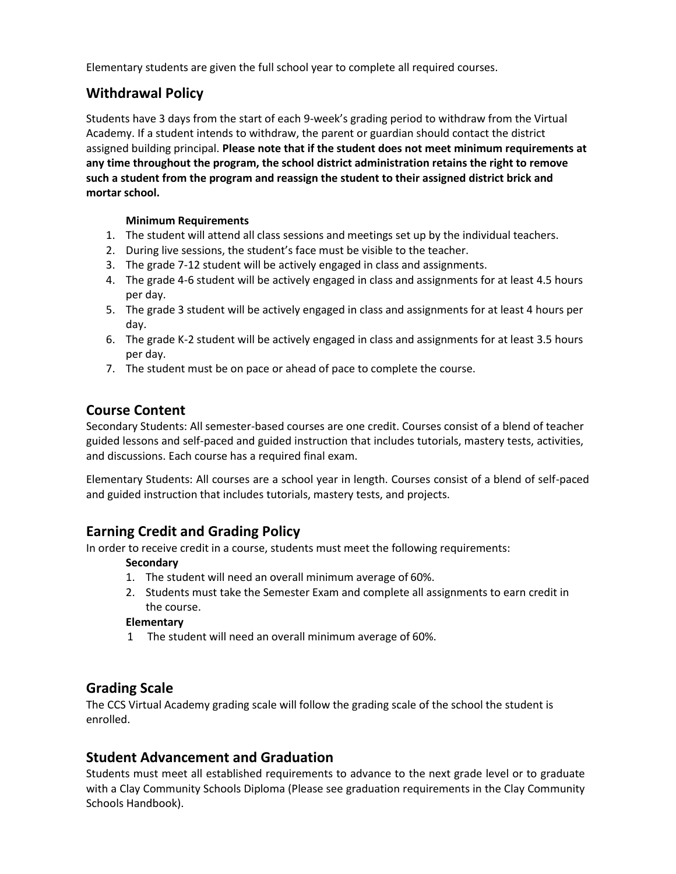Elementary students are given the full school year to complete all required courses.

# **Withdrawal Policy**

Students have 3 days from the start of each 9-week's grading period to withdraw from the Virtual Academy. If a student intends to withdraw, the parent or guardian should contact the district assigned building principal. **Please note that if the student does not meet minimum requirements at any time throughout the program, the school district administration retains the right to remove such a student from the program and reassign the student to their assigned district brick and mortar school.**

#### **Minimum Requirements**

- 1. The student will attend all class sessions and meetings set up by the individual teachers.
- 2. During live sessions, the student's face must be visible to the teacher.
- 3. The grade 7-12 student will be actively engaged in class and assignments.
- 4. The grade 4-6 student will be actively engaged in class and assignments for at least 4.5 hours per day.
- 5. The grade 3 student will be actively engaged in class and assignments for at least 4 hours per day.
- 6. The grade K-2 student will be actively engaged in class and assignments for at least 3.5 hours per day.
- 7. The student must be on pace or ahead of pace to complete the course.

# **Course Content**

Secondary Students: All semester-based courses are one credit. Courses consist of a blend of teacher guided lessons and self-paced and guided instruction that includes tutorials, mastery tests, activities, and discussions. Each course has a required final exam.

Elementary Students: All courses are a school year in length. Courses consist of a blend of self-paced and guided instruction that includes tutorials, mastery tests, and projects.

# **Earning Credit and Grading Policy**

In order to receive credit in a course, students must meet the following requirements:

#### **Secondary**

- 1. The student will need an overall minimum average of 60%.
- 2. Students must take the Semester Exam and complete all assignments to earn credit in the course.

#### **Elementary**

1 The student will need an overall minimum average of 60%.

## **Grading Scale**

The CCS Virtual Academy grading scale will follow the grading scale of the school the student is enrolled.

# **Student Advancement and Graduation**

Students must meet all established requirements to advance to the next grade level or to graduate with a Clay Community Schools Diploma (Please see graduation requirements in the Clay Community Schools Handbook).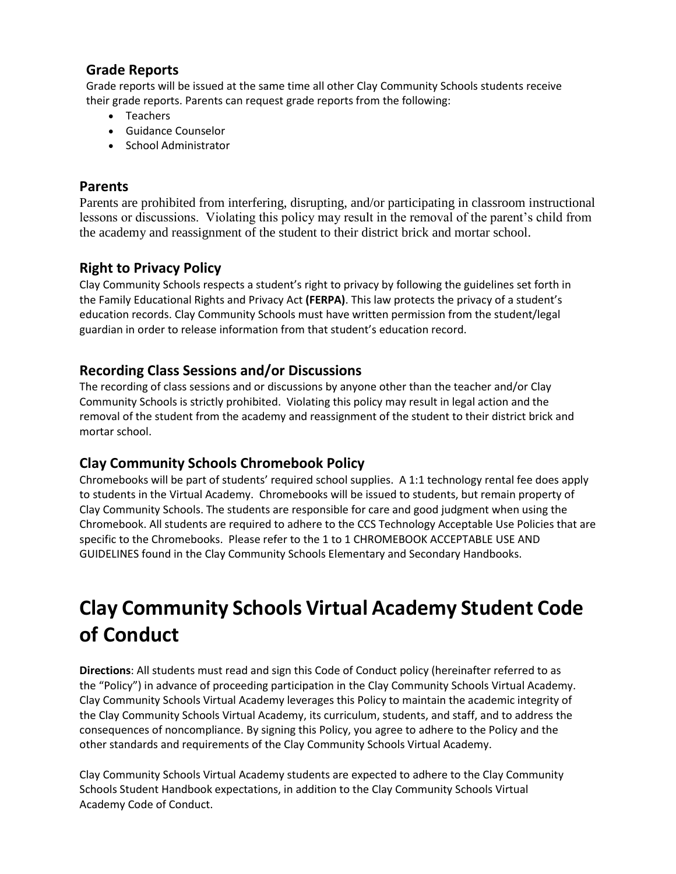## **Grade Reports**

Grade reports will be issued at the same time all other Clay Community Schools students receive their grade reports. Parents can request grade reports from the following:

- Teachers
- Guidance Counselor
- School Administrator

## **Parents**

Parents are prohibited from interfering, disrupting, and/or participating in classroom instructional lessons or discussions. Violating this policy may result in the removal of the parent's child from the academy and reassignment of the student to their district brick and mortar school.

# **Right to Privacy Policy**

Clay Community Schools respects a student's right to privacy by following the guidelines set forth in the Family Educational Rights and Privacy Act **(FERPA)**. This law protects the privacy of a student's education records. Clay Community Schools must have written permission from the student/legal guardian in order to release information from that student's education record.

## **Recording Class Sessions and/or Discussions**

The recording of class sessions and or discussions by anyone other than the teacher and/or Clay Community Schools is strictly prohibited. Violating this policy may result in legal action and the removal of the student from the academy and reassignment of the student to their district brick and mortar school.

# **Clay Community Schools Chromebook Policy**

Chromebooks will be part of students' required school supplies. A 1:1 technology rental fee does apply to students in the Virtual Academy. Chromebooks will be issued to students, but remain property of Clay Community Schools. The students are responsible for care and good judgment when using the Chromebook. All students are required to adhere to the CCS Technology Acceptable Use Policies that are specific to the Chromebooks. Please refer to the 1 to 1 CHROMEBOOK ACCEPTABLE USE AND GUIDELINES found in the Clay Community Schools Elementary and Secondary Handbooks.

# **Clay Community Schools Virtual Academy Student Code of Conduct**

**Directions**: All students must read and sign this Code of Conduct policy (hereinafter referred to as the "Policy") in advance of proceeding participation in the Clay Community Schools Virtual Academy. Clay Community Schools Virtual Academy leverages this Policy to maintain the academic integrity of the Clay Community Schools Virtual Academy, its curriculum, students, and staff, and to address the consequences of noncompliance. By signing this Policy, you agree to adhere to the Policy and the other standards and requirements of the Clay Community Schools Virtual Academy.

Clay Community Schools Virtual Academy students are expected to adhere to the Clay Community Schools Student Handbook expectations, in addition to the Clay Community Schools Virtual Academy Code of Conduct.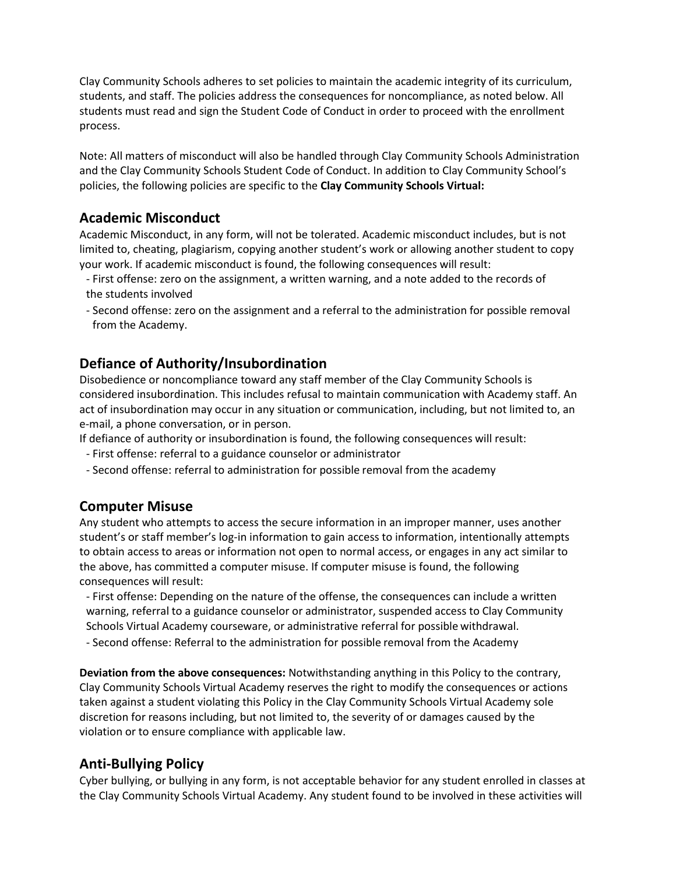Clay Community Schools adheres to set policies to maintain the academic integrity of its curriculum, students, and staff. The policies address the consequences for noncompliance, as noted below. All students must read and sign the Student Code of Conduct in order to proceed with the enrollment process.

Note: All matters of misconduct will also be handled through Clay Community Schools Administration and the Clay Community Schools Student Code of Conduct. In addition to Clay Community School's policies, the following policies are specific to the **Clay Community Schools Virtual:**

#### **Academic Misconduct**

Academic Misconduct, in any form, will not be tolerated. Academic misconduct includes, but is not limited to, cheating, plagiarism, copying another student's work or allowing another student to copy your work. If academic misconduct is found, the following consequences will result:

- First offense: zero on the assignment, a written warning, and a note added to the records of the students involved
- Second offense: zero on the assignment and a referral to the administration for possible removal from the Academy.

## **Defiance of Authority/Insubordination**

Disobedience or noncompliance toward any staff member of the Clay Community Schools is considered insubordination. This includes refusal to maintain communication with Academy staff. An act of insubordination may occur in any situation or communication, including, but not limited to, an e-mail, a phone conversation, or in person.

If defiance of authority or insubordination is found, the following consequences will result:

- First offense: referral to a guidance counselor or administrator
- Second offense: referral to administration for possible removal from the academy

#### **Computer Misuse**

Any student who attempts to access the secure information in an improper manner, uses another student's or staff member's log-in information to gain access to information, intentionally attempts to obtain access to areas or information not open to normal access, or engages in any act similar to the above, has committed a computer misuse. If computer misuse is found, the following consequences will result:

- First offense: Depending on the nature of the offense, the consequences can include a written warning, referral to a guidance counselor or administrator, suspended access to Clay Community Schools Virtual Academy courseware, or administrative referral for possible withdrawal.

- Second offense: Referral to the administration for possible removal from the Academy

**Deviation from the above consequences:** Notwithstanding anything in this Policy to the contrary, Clay Community Schools Virtual Academy reserves the right to modify the consequences or actions taken against a student violating this Policy in the Clay Community Schools Virtual Academy sole discretion for reasons including, but not limited to, the severity of or damages caused by the violation or to ensure compliance with applicable law.

#### **Anti-Bullying Policy**

Cyber bullying, or bullying in any form, is not acceptable behavior for any student enrolled in classes at the Clay Community Schools Virtual Academy. Any student found to be involved in these activities will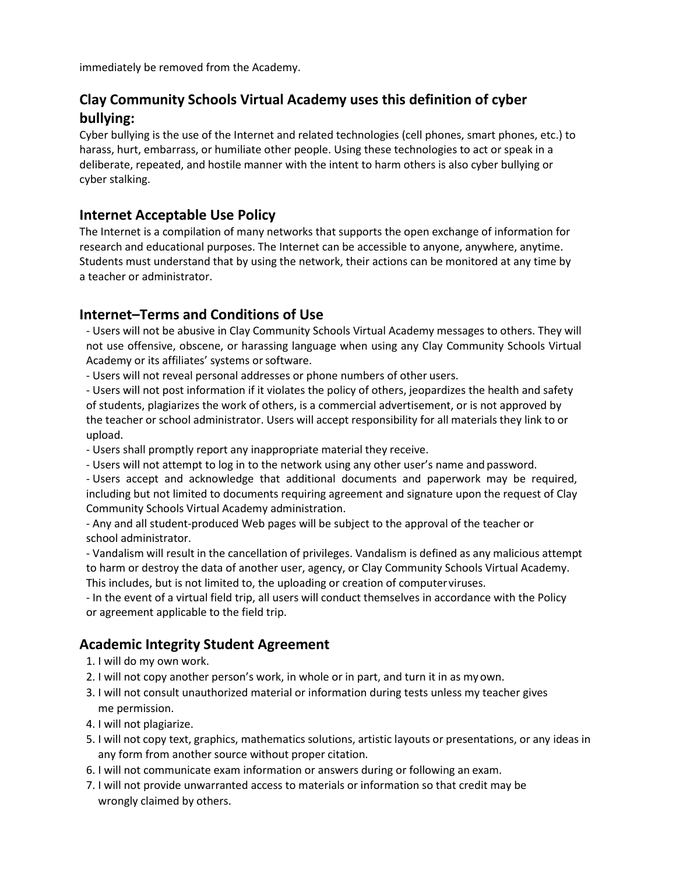immediately be removed from the Academy.

# **Clay Community Schools Virtual Academy uses this definition of cyber bullying:**

Cyber bullying is the use of the Internet and related technologies (cell phones, smart phones, etc.) to harass, hurt, embarrass, or humiliate other people. Using these technologies to act or speak in a deliberate, repeated, and hostile manner with the intent to harm others is also cyber bullying or cyber stalking.

## **Internet Acceptable Use Policy**

The Internet is a compilation of many networks that supports the open exchange of information for research and educational purposes. The Internet can be accessible to anyone, anywhere, anytime. Students must understand that by using the network, their actions can be monitored at any time by a teacher or administrator.

## **Internet–Terms and Conditions of Use**

- Users will not be abusive in Clay Community Schools Virtual Academy messages to others. They will not use offensive, obscene, or harassing language when using any Clay Community Schools Virtual Academy or its affiliates' systems or software.

- Users will not reveal personal addresses or phone numbers of other users.

- Users will not post information if it violates the policy of others, jeopardizes the health and safety of students, plagiarizes the work of others, is a commercial advertisement, or is not approved by the teacher or school administrator. Users will accept responsibility for all materials they link to or upload.

- Users shall promptly report any inappropriate material they receive.

- Users will not attempt to log in to the network using any other user's name and password.

- Users accept and acknowledge that additional documents and paperwork may be required, including but not limited to documents requiring agreement and signature upon the request of Clay Community Schools Virtual Academy administration.

- Any and all student-produced Web pages will be subject to the approval of the teacher or school administrator.

- Vandalism will result in the cancellation of privileges. Vandalism is defined as any malicious attempt to harm or destroy the data of another user, agency, or Clay Community Schools Virtual Academy. This includes, but is not limited to, the uploading or creation of computerviruses.

- In the event of a virtual field trip, all users will conduct themselves in accordance with the Policy or agreement applicable to the field trip.

# **Academic Integrity Student Agreement**

- 1. I will do my own work.
- 2. I will not copy another person's work, in whole or in part, and turn it in as my own.
- 3. I will not consult unauthorized material or information during tests unless my teacher gives me permission.
- 4. I will not plagiarize.
- 5. I will not copy text, graphics, mathematics solutions, artistic layouts or presentations, or any ideas in any form from another source without proper citation.
- 6. I will not communicate exam information or answers during or following an exam.
- 7. I will not provide unwarranted access to materials or information so that credit may be wrongly claimed by others.